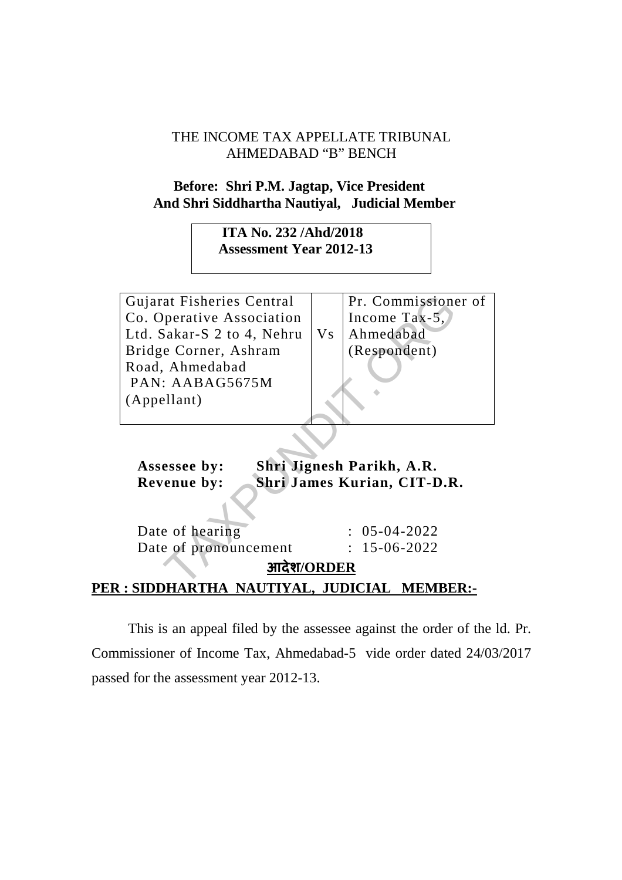## THE INCOME TAX APPELLATE TRIBUNAL AHMEDABAD "B" BENCH

## **Before: Shri P.M. Jagtap, Vice President And Shri Siddhartha Nautiyal, Judicial Member**

 **ITA No. 232 /Ahd/2018 Assessment Year 2012-13** 

Gujarat Fisheries Central Co. Operative Association Ltd. Sakar-S 2 to 4, Nehru Bridge Corner, Ashram Road, Ahmedabad PAN: AABAG5675M (Appellant) Therefore Schemar (Pr. Commissions)<br>
Pr. Commissions<br>
Sakar-S 2 to 4, Nehru<br>
e Corner, Ashram<br>
Ahmedabad<br>
: AABAG5675M<br>
Ellant)<br>
Shri Jignesh Parikh, A.R.<br>
essee by:<br>
Shri Jignesh Parikh, A.R.<br>
enue by:<br>
Shri James Kurian,

Vs Pr. Commissioner of Income Tax-5, Ahmedabad (Respondent)

 **Assessee by: Shri Jignesh Parikh, A.R. Revenue by: Shri James Kurian, CIT-D.R.** 

Date of hearing : 05-04-2022 Date of pronouncement : 15-06-2022

## **आदेश/ORDER PER : SIDDHARTHA NAUTIYAL, JUDICIAL MEMBER:-**

This is an appeal filed by the assessee against the order of the ld. Pr. Commissioner of Income Tax, Ahmedabad-5 vide order dated 24/03/2017 passed for the assessment year 2012-13.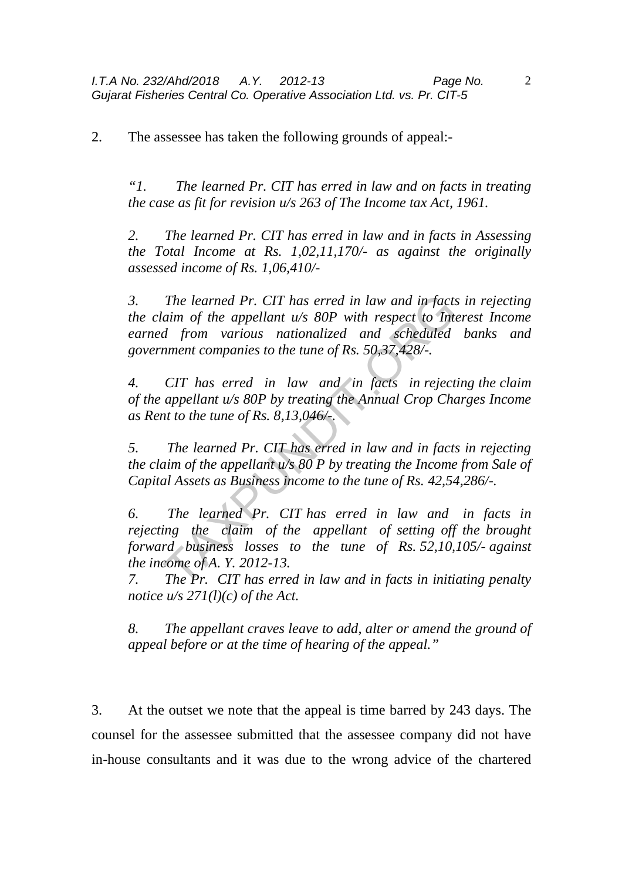2. The assessee has taken the following grounds of appeal:-

*"1. The learned Pr. CIT has erred in law and on facts in treating the case as fit for revision u/s 263 of The Income tax Act, 1961.* 

*2. The learned Pr. CIT has erred in law and in facts in Assessing the Total Income at Rs. 1,02,11,170/- as against the originally assessed income of Rs. 1,06,410/-* 

*3. The learned Pr. CIT has erred in law and in facts in rejecting the claim of the appellant u/s 80P with respect to Interest Income earned from various nationalized and scheduled banks and government companies to the tune of Rs. 50,37,428/-.*  The learned Pr. CIT has erred in law and in facts<br>
in of the appellant w/s 80P with respect to Inta<br>
d from various nationalized and scheduled<br>
nment companies to the tune of Rs. 50,37,428/-.<br>
CIT has erred in law and in f

*4. CIT has erred in law and in facts in rejecting the claim of the appellant u/s 80P by treating the Annual Crop Charges Income as Rent to the tune of Rs. 8,13,046/-.* 

*5. The learned Pr. CIT has erred in law and in facts in rejecting the claim of the appellant u/s 80 P by treating the Income from Sale of Capital Assets as Business income to the tune of Rs. 42,54,286/-.* 

*6. The learned Pr. CIT has erred in law and in facts in rejecting the claim of the appellant of setting off the brought forward business losses to the tune of Rs. 52,10,105/- against the income of A. Y. 2012-13.* 

*7. The Pr. CIT has erred in law and in facts in initiating penalty notice u/s 271(l)(c) of the Act.* 

*8. The appellant craves leave to add, alter or amend the ground of appeal before or at the time of hearing of the appeal."* 

3. At the outset we note that the appeal is time barred by 243 days. The counsel for the assessee submitted that the assessee company did not have in-house consultants and it was due to the wrong advice of the chartered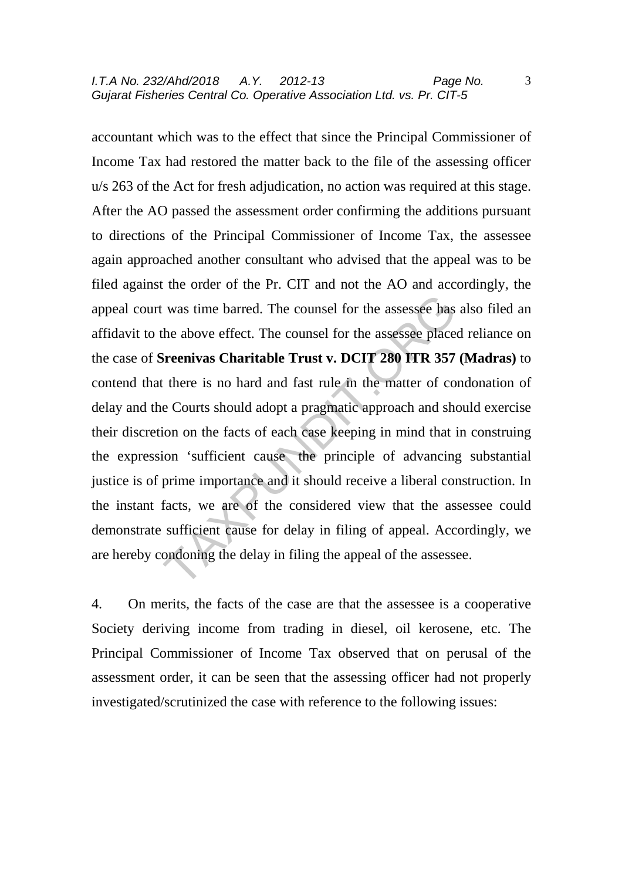accountant which was to the effect that since the Principal Commissioner of Income Tax had restored the matter back to the file of the assessing officer u/s 263 of the Act for fresh adjudication, no action was required at this stage. After the AO passed the assessment order confirming the additions pursuant to directions of the Principal Commissioner of Income Tax, the assessee again approached another consultant who advised that the appeal was to be filed against the order of the Pr. CIT and not the AO and accordingly, the appeal court was time barred. The counsel for the assessee has also filed an affidavit to the above effect. The counsel for the assessee placed reliance on the case of **Sreenivas Charitable Trust v. DCIT 280 ITR 357 (Madras)** to contend that there is no hard and fast rule in the matter of condonation of delay and the Courts should adopt a pragmatic approach and should exercise their discretion on the facts of each case keeping in mind that in construing the expression 'sufficient cause the principle of advancing substantial justice is of prime importance and it should receive a liberal construction. In the instant facts, we are of the considered view that the assessee could demonstrate sufficient cause for delay in filing of appeal. Accordingly, we are hereby condoning the delay in filing the appeal of the assessee. was time barred. The counsel for the assessee has<br>the above effect. The counsel for the assessee place<br>**Sreenivas Charitable Trust v. DCIT 280 ITR 357**<br>t there is no hard and fast rule in the matter of co<br>e Courts should a

4. On merits, the facts of the case are that the assessee is a cooperative Society deriving income from trading in diesel, oil kerosene, etc. The Principal Commissioner of Income Tax observed that on perusal of the assessment order, it can be seen that the assessing officer had not properly investigated/scrutinized the case with reference to the following issues: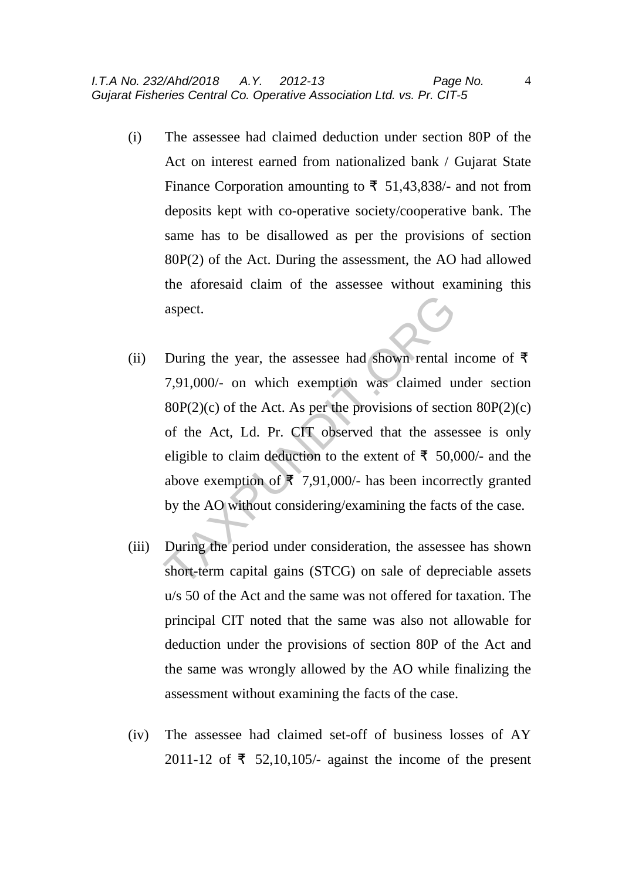- (i) The assessee had claimed deduction under section 80P of the Act on interest earned from nationalized bank / Gujarat State Finance Corporation amounting to  $\bar{\tau}$  51,43,838/- and not from deposits kept with co-operative society/cooperative bank. The same has to be disallowed as per the provisions of section 80P(2) of the Act. During the assessment, the AO had allowed the aforesaid claim of the assessee without examining this aspect.
- (ii) During the year, the assessee had shown rental income of  $\bar{f}$ 7,91,000/- on which exemption was claimed under section  $80P(2)(c)$  of the Act. As per the provisions of section  $80P(2)(c)$ of the Act, Ld. Pr. CIT observed that the assessee is only eligible to claim deduction to the extent of  $\bar{\mathbf{z}}$  50,000/- and the above exemption of  $\bar{\mathbf{z}}$  7,91,000/- has been incorrectly granted by the AO without considering/examining the facts of the case. aspect.<br>
During the year, the assessee had shown rental i<br>
7,91,000/- on which exemption was claimed u<br>
80P(2)(c) of the Act. As per the provisions of section<br>
of the Act, Ld. Pr. CIT observed that the assee<br>
eligible to
- (iii) During the period under consideration, the assessee has shown short-term capital gains (STCG) on sale of depreciable assets u/s 50 of the Act and the same was not offered for taxation. The principal CIT noted that the same was also not allowable for deduction under the provisions of section 80P of the Act and the same was wrongly allowed by the AO while finalizing the assessment without examining the facts of the case.
- (iv) The assessee had claimed set-off of business losses of AY 2011-12 of  $\bar{\tau}$  52,10,105/- against the income of the present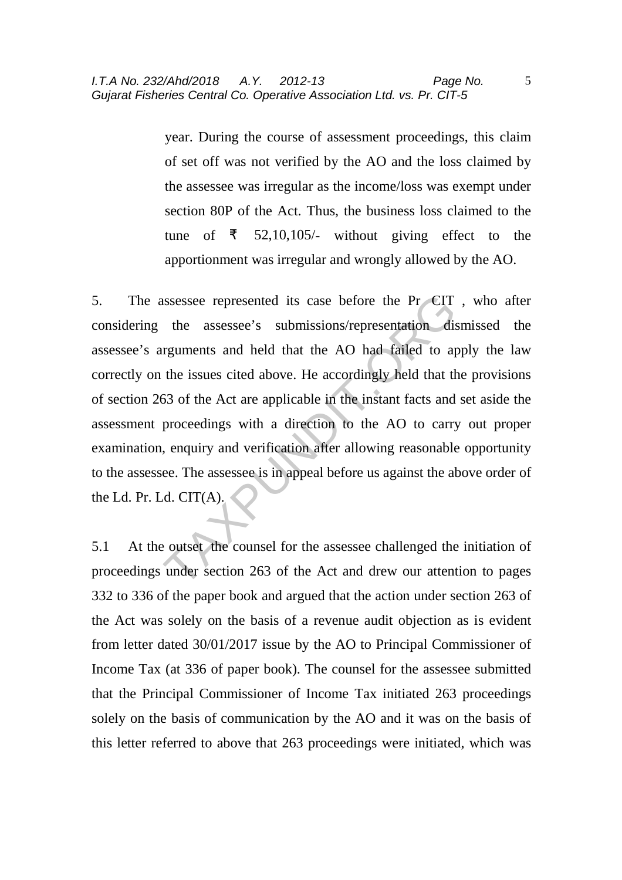year. During the course of assessment proceedings, this claim of set off was not verified by the AO and the loss claimed by the assessee was irregular as the income/loss was exempt under section 80P of the Act. Thus, the business loss claimed to the tune of  $\bar{z}$  52,10,105/- without giving effect to the apportionment was irregular and wrongly allowed by the AO.

5. The assessee represented its case before the Pr CIT , who after considering the assessee's submissions/representation dismissed the assessee's arguments and held that the AO had failed to apply the law correctly on the issues cited above. He accordingly held that the provisions of section 263 of the Act are applicable in the instant facts and set aside the assessment proceedings with a direction to the AO to carry out proper examination, enquiry and verification after allowing reasonable opportunity to the assessee. The assessee is in appeal before us against the above order of the Ld. Pr. Ld. CIT(A). sumessessee represented its case before the Pr CIT<br>the assessee's submissions/representation dis-<br>reguments and held that the AO had failed to ap-<br>the issues cited above. He accordingly held that the<br>63 of the Act are appl

5.1 At the outset the counsel for the assessee challenged the initiation of proceedings under section 263 of the Act and drew our attention to pages 332 to 336 of the paper book and argued that the action under section 263 of the Act was solely on the basis of a revenue audit objection as is evident from letter dated 30/01/2017 issue by the AO to Principal Commissioner of Income Tax (at 336 of paper book). The counsel for the assessee submitted that the Principal Commissioner of Income Tax initiated 263 proceedings solely on the basis of communication by the AO and it was on the basis of this letter referred to above that 263 proceedings were initiated, which was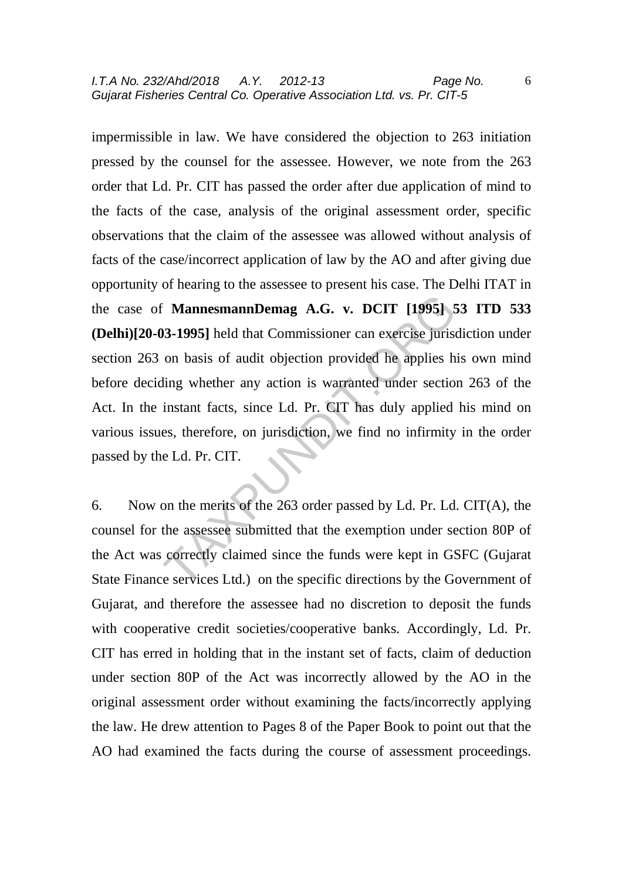impermissible in law. We have considered the objection to 263 initiation pressed by the counsel for the assessee. However, we note from the 263 order that Ld. Pr. CIT has passed the order after due application of mind to the facts of the case, analysis of the original assessment order, specific observations that the claim of the assessee was allowed without analysis of facts of the case/incorrect application of law by the AO and after giving due opportunity of hearing to the assessee to present his case. The Delhi ITAT in the case of **MannesmannDemag A.G. v. DCIT [1995] 53 ITD 533 (Delhi)[20-03-1995]** held that Commissioner can exercise jurisdiction under section 263 on basis of audit objection provided he applies his own mind before deciding whether any action is warranted under section 263 of the Act. In the instant facts, since Ld. Pr. CIT has duly applied his mind on various issues, therefore, on jurisdiction, we find no infirmity in the order passed by the Ld. Pr. CIT. MannesmannDemag A.G. v. DCIT [1995] 5<br>33-1995] held that Commissioner can exercise jurise<br>on basis of audit objection provided he applies h<br>ling whether any action is warranted under section<br>instant facts, since Ld. Pr. C

6. Now on the merits of the 263 order passed by Ld. Pr. Ld. CIT(A), the counsel for the assessee submitted that the exemption under section 80P of the Act was correctly claimed since the funds were kept in GSFC (Gujarat State Finance services Ltd.) on the specific directions by the Government of Gujarat, and therefore the assessee had no discretion to deposit the funds with cooperative credit societies/cooperative banks. Accordingly, Ld. Pr. CIT has erred in holding that in the instant set of facts, claim of deduction under section 80P of the Act was incorrectly allowed by the AO in the original assessment order without examining the facts/incorrectly applying the law. He drew attention to Pages 8 of the Paper Book to point out that the AO had examined the facts during the course of assessment proceedings.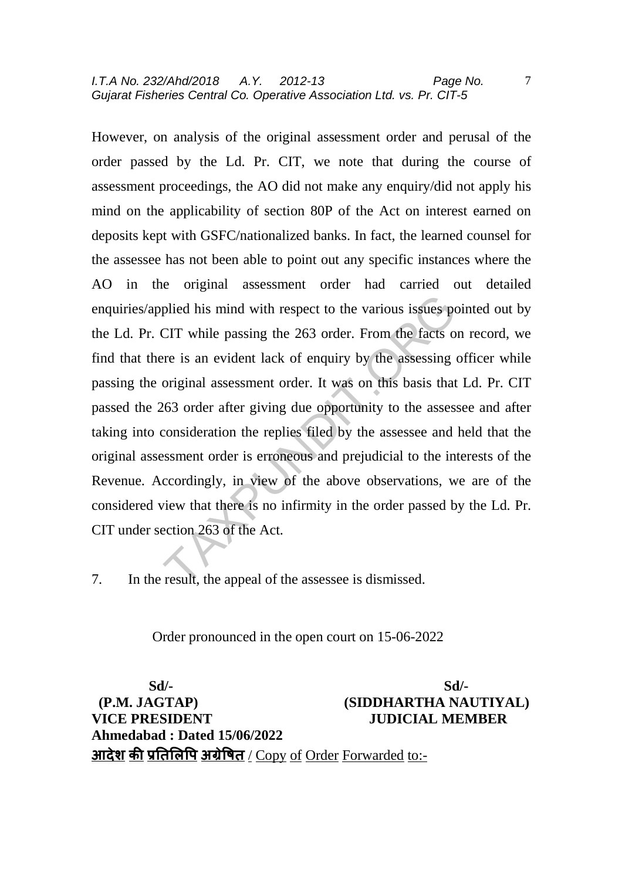I.T.A No. 232/Ahd/2018 A.Y. 2012-13 Page No. Gujarat Fisheries Central Co. Operative Association Ltd. vs. Pr. CIT-5

However, on analysis of the original assessment order and perusal of the order passed by the Ld. Pr. CIT, we note that during the course of assessment proceedings, the AO did not make any enquiry/did not apply his mind on the applicability of section 80P of the Act on interest earned on deposits kept with GSFC/nationalized banks. In fact, the learned counsel for the assessee has not been able to point out any specific instances where the AO in the original assessment order had carried out detailed enquiries/applied his mind with respect to the various issues pointed out by the Ld. Pr. CIT while passing the 263 order. From the facts on record, we find that there is an evident lack of enquiry by the assessing officer while passing the original assessment order. It was on this basis that Ld. Pr. CIT passed the 263 order after giving due opportunity to the assessee and after taking into consideration the replies filed by the assessee and held that the original assessment order is erroneous and prejudicial to the interests of the Revenue. Accordingly, in view of the above observations, we are of the considered view that there is no infirmity in the order passed by the Ld. Pr. CIT under section 263 of the Act. plied his mind with respect to the various issues po<br>CIT while passing the 263 order. From the facts of<br>re is an evident lack of enquiry by the assessing original assessment order. It was on this basis that<br>063 order after

7. In the result, the appeal of the assessee is dismissed.

Order pronounced in the open court on 15-06-2022

 **Sd/- Sd/- (P.M. JAGTAP) (SIDDHARTHA NAUTIYAL) VICE PRESIDENT JUDICIAL MEMBER Ahmedabad : Dated 15/06/2022**  <u>आदेश की प्रतिलिपि अग्रेषित / Copy of Order Forwarded to:-</u>